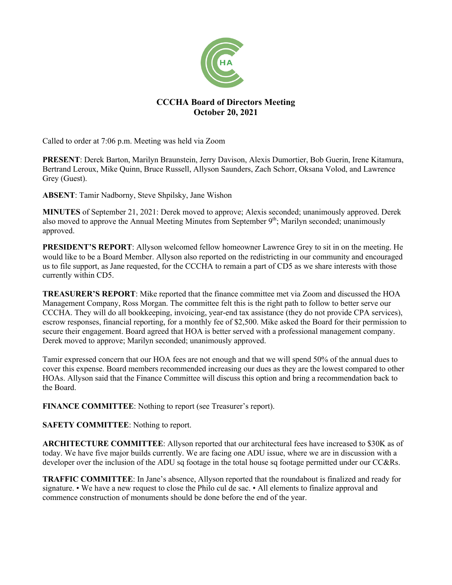

## **CCCHA Board of Directors Meeting October 20, 2021**

Called to order at 7:06 p.m. Meeting was held via Zoom

**PRESENT**: Derek Barton, Marilyn Braunstein, Jerry Davison, Alexis Dumortier, Bob Guerin, Irene Kitamura, Bertrand Leroux, Mike Quinn, Bruce Russell, Allyson Saunders, Zach Schorr, Oksana Volod, and Lawrence Grey (Guest).

**ABSENT**: Tamir Nadborny, Steve Shpilsky, Jane Wishon

**MINUTES** of September 21, 2021: Derek moved to approve; Alexis seconded; unanimously approved. Derek also moved to approve the Annual Meeting Minutes from September 9<sup>th</sup>; Marilyn seconded; unanimously approved.

**PRESIDENT'S REPORT**: Allyson welcomed fellow homeowner Lawrence Grey to sit in on the meeting. He would like to be a Board Member. Allyson also reported on the redistricting in our community and encouraged us to file support, as Jane requested, for the CCCHA to remain a part of CD5 as we share interests with those currently within CD5.

**TREASURER'S REPORT**: Mike reported that the finance committee met via Zoom and discussed the HOA Management Company, Ross Morgan. The committee felt this is the right path to follow to better serve our CCCHA. They will do all bookkeeping, invoicing, year-end tax assistance (they do not provide CPA services), escrow responses, financial reporting, for a monthly fee of \$2,500. Mike asked the Board for their permission to secure their engagement. Board agreed that HOA is better served with a professional management company. Derek moved to approve; Marilyn seconded; unanimously approved.

Tamir expressed concern that our HOA fees are not enough and that we will spend 50% of the annual dues to cover this expense. Board members recommended increasing our dues as they are the lowest compared to other HOAs. Allyson said that the Finance Committee will discuss this option and bring a recommendation back to the Board.

**FINANCE COMMITTEE**: Nothing to report (see Treasurer's report).

**SAFETY COMMITTEE**: Nothing to report.

**ARCHITECTURE COMMITTEE**: Allyson reported that our architectural fees have increased to \$30K as of today. We have five major builds currently. We are facing one ADU issue, where we are in discussion with a developer over the inclusion of the ADU sq footage in the total house sq footage permitted under our CC&Rs.

**TRAFFIC COMMITTEE**: In Jane's absence, Allyson reported that the roundabout is finalized and ready for signature. • We have a new request to close the Philo cul de sac. • All elements to finalize approval and commence construction of monuments should be done before the end of the year.